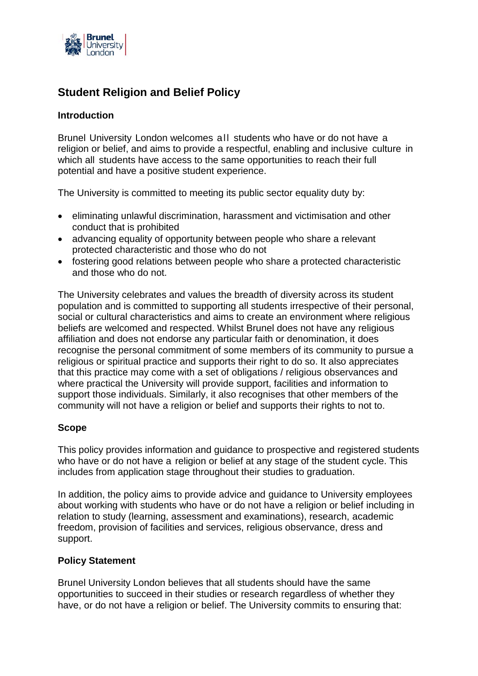

# **Student Religion and Belief Policy**

### **Introduction**

Brunel University London welcomes all students who have or do not have a religion or belief, and aims to provide a respectful, enabling and inclusive culture in which all students have access to the same opportunities to reach their full potential and have a positive student experience.

The University is committed to meeting its public sector equality duty by:

- eliminating unlawful discrimination, harassment and victimisation and other conduct that is prohibited
- advancing equality of opportunity between people who share a relevant protected characteristic and those who do not
- fostering good relations between people who share a protected characteristic and those who do not.

The University celebrates and values the breadth of diversity across its student population and is committed to supporting all students irrespective of their personal, social or cultural characteristics and aims to create an environment where religious beliefs are welcomed and respected. Whilst Brunel does not have any religious affiliation and does not endorse any particular faith or denomination, it does recognise the personal commitment of some members of its community to pursue a religious or spiritual practice and supports their right to do so. It also appreciates that this practice may come with a set of obligations / religious observances and where practical the University will provide support, facilities and information to support those individuals. Similarly, it also recognises that other members of the community will not have a religion or belief and supports their rights to not to.

#### **Scope**

This policy provides information and guidance to prospective and registered students who have or do not have a religion or belief at any stage of the student cycle. This includes from application stage throughout their studies to graduation.

In addition, the policy aims to provide advice and guidance to University employees about working with students who have or do not have a religion or belief including in relation to study (learning, assessment and examinations), research, academic freedom, provision of facilities and services, religious observance, dress and support.

#### **Policy Statement**

Brunel University London believes that all students should have the same opportunities to succeed in their studies or research regardless of whether they have, or do not have a religion or belief. The University commits to ensuring that: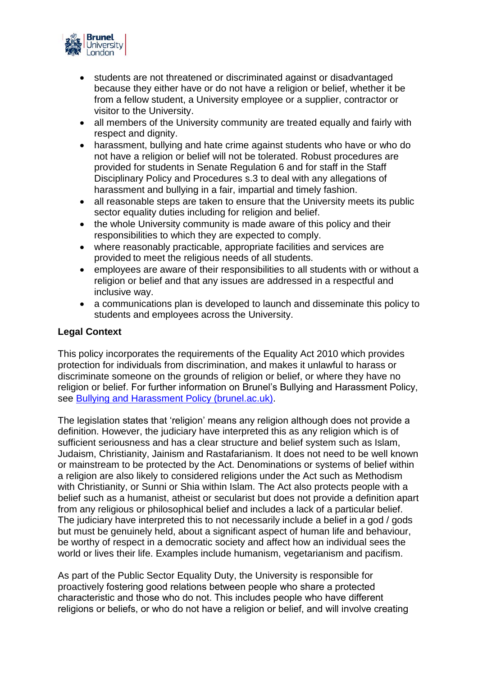

- students are not threatened or discriminated against or disadvantaged because they either have or do not have a religion or belief, whether it be from a fellow student, a University employee or a supplier, contractor or visitor to the University.
- all members of the University community are treated equally and fairly with respect and dignity.
- harassment, bullying and hate crime against students who have or who do not have a religion or belief will not be tolerated. Robust procedures are provided for students in Senate Regulation 6 and for staff in the Staff Disciplinary Policy and Procedures s.3 to deal with any allegations of harassment and bullying in a fair, impartial and timely fashion.
- all reasonable steps are taken to ensure that the University meets its public sector equality duties including for religion and belief.
- the whole University community is made aware of this policy and their responsibilities to which they are expected to comply.
- where reasonably practicable, appropriate facilities and services are provided to meet the religious needs of all students.
- employees are aware of their responsibilities to all students with or without a religion or belief and that any issues are addressed in a respectful and inclusive way.
- a communications plan is developed to launch and disseminate this policy to students and employees across the University.

### **Legal Context**

This policy incorporates the requirements of the Equality Act 2010 which provides protection for individuals from discrimination, and makes it unlawful to harass or discriminate someone on the grounds of religion or belief, or where they have no religion or belief. For further information on Brunel's Bullying and Harassment Policy, see [Bullying and Harassment Policy \(brunel.ac.uk\).](https://students.brunel.ac.uk/documents/Policies/bullying-and-harassment-policy.pdf)

The legislation states that 'religion' means any religion although does not provide a definition. However, the judiciary have interpreted this as any religion which is of sufficient seriousness and has a clear structure and belief system such as Islam, Judaism, Christianity, Jainism and Rastafarianism. It does not need to be well known or mainstream to be protected by the Act. Denominations or systems of belief within a religion are also likely to considered religions under the Act such as Methodism with Christianity, or Sunni or Shia within Islam. The Act also protects people with a belief such as a humanist, atheist or secularist but does not provide a definition apart from any religious or philosophical belief and includes a lack of a particular belief. The judiciary have interpreted this to not necessarily include a belief in a god / gods but must be genuinely held, about a significant aspect of human life and behaviour, be worthy of respect in a democratic society and affect how an individual sees the world or lives their life. Examples include humanism, vegetarianism and pacifism.

As part of the Public Sector Equality Duty, the University is responsible for proactively fostering good relations between people who share a protected characteristic and those who do not. This includes people who have different religions or beliefs, or who do not have a religion or belief, and will involve creating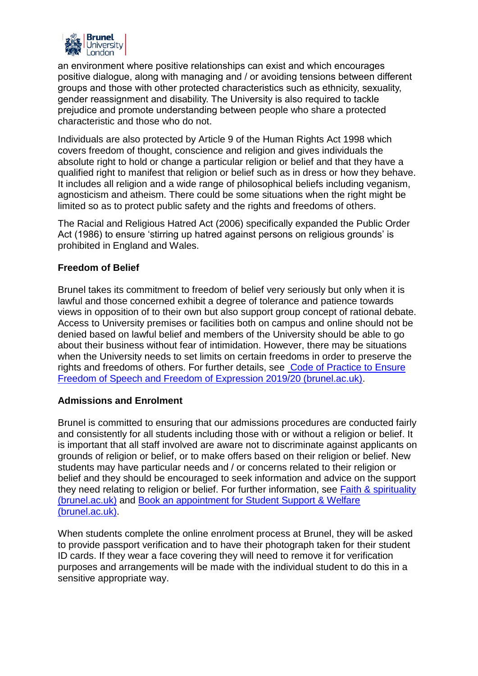

an environment where positive relationships can exist and which encourages positive dialogue, along with managing and / or avoiding tensions between different groups and those with other protected characteristics such as ethnicity, sexuality, gender reassignment and disability. The University is also required to tackle prejudice and promote understanding between people who share a protected characteristic and those who do not.

Individuals are also protected by Article 9 of the Human Rights Act 1998 which covers freedom of thought, conscience and religion and gives individuals the absolute right to hold or change a particular religion or belief and that they have a qualified right to manifest that religion or belief such as in dress or how they behave. It includes all religion and a wide range of philosophical beliefs including veganism, agnosticism and atheism. There could be some situations when the right might be limited so as to protect public safety and the rights and freedoms of others.

The Racial and Religious Hatred Act (2006) specifically expanded the Public Order Act (1986) to ensure 'stirring up hatred against persons on religious grounds' is prohibited in England and Wales.

# **Freedom of Belief**

Brunel takes its commitment to freedom of belief very seriously but only when it is lawful and those concerned exhibit a degree of tolerance and patience towards views in opposition of to their own but also support group concept of rational debate. Access to University premises or facilities both on campus and online should not be denied based on lawful belief and members of the University should be able to go about their business without fear of intimidation. However, there may be situations when the University needs to set limits on certain freedoms in order to preserve the rights and freedoms of others. For further details, see [Code of Practice to](https://www.brunel.ac.uk/about/administration/policy?id=af2765a6-f77e-4ffb-934b-98f8b15e7fb9) Ensure [Freedom of Speech and Freedom of Expression 2019/20 \(brunel.ac.uk\).](https://www.brunel.ac.uk/about/administration/policy?id=af2765a6-f77e-4ffb-934b-98f8b15e7fb9)

#### **Admissions and Enrolment**

Brunel is committed to ensuring that our admissions procedures are conducted fairly and consistently for all students including those with or without a religion or belief. It is important that all staff involved are aware not to discriminate against applicants on grounds of religion or belief, or to make offers based on their religion or belief. New students may have particular needs and / or concerns related to their religion or belief and they should be encouraged to seek information and advice on the support they need relating to religion or belief. For further information, see Faith & spirituality [\(brunel.ac.uk\)](https://students.brunel.ac.uk/support/faith-spirituality) and [Book an appointment for Student Support & Welfare](https://students.brunel.ac.uk/support/book-an-appointment-through-our-support-welfare-team)  [\(brunel.ac.uk\).](https://students.brunel.ac.uk/support/book-an-appointment-through-our-support-welfare-team)

When students complete the online enrolment process at Brunel, they will be asked to provide passport verification and to have their photograph taken for their student ID cards. If they wear a face covering they will need to remove it for verification purposes and arrangements will be made with the individual student to do this in a sensitive appropriate way.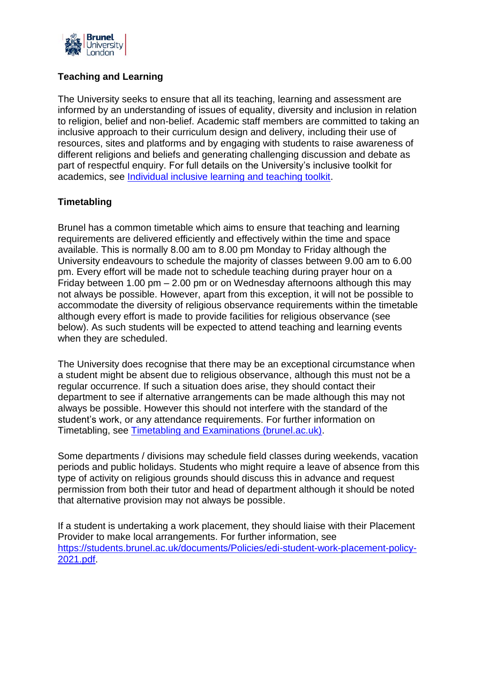

# **Teaching and Learning**

The University seeks to ensure that all its teaching, learning and assessment are informed by an understanding of issues of equality, diversity and inclusion in relation to religion, belief and non-belief. Academic staff members are committed to taking an inclusive approach to their curriculum design and delivery, including their use of resources, sites and platforms and by engaging with students to raise awareness of different religions and beliefs and generating challenging discussion and debate as part of respectful enquiry. For full details on the University's inclusive toolkit for academics, see [Individual inclusive learning and teaching toolkit.](https://teams.microsoft.com/l/file/6770F6CE-9949-41BD-9A89-6F71C871AF6F?tenantId=4cad97b1-5935-4103-a866-57ad98a1517e&fileType=pdf&objectUrl=https%3A%2F%2Fbrunel365.sharepoint.com%2Fteams%2FPROJ-StaffGuidanceDeliveringEducationalProvision2020-21%2FShared%20Documents%2F%E2%9C%85%20Good%20Practice%2FIndividual%20inclusive%20learning%20and%20teaching%20toolkit.pdf&baseUrl=https%3A%2F%2Fbrunel365.sharepoint.com%2Fteams%2FPROJ-StaffGuidanceDeliveringEducationalProvision2020-21&serviceName=teams&threadId=19:1f9eefc47b394375934b261ab2076df5@thread.tacv2&groupId=3084319e-c245-46a3-b66e-5fd2c0ded085)

# **Timetabling**

Brunel has a common timetable which aims to ensure that teaching and learning requirements are delivered efficiently and effectively within the time and space available. This is normally 8.00 am to 8.00 pm Monday to Friday although the University endeavours to schedule the majority of classes between 9.00 am to 6.00 pm. Every effort will be made not to schedule teaching during prayer hour on a Friday between 1.00 pm – 2.00 pm or on Wednesday afternoons although this may not always be possible. However, apart from this exception, it will not be possible to accommodate the diversity of religious observance requirements within the timetable although every effort is made to provide facilities for religious observance (see below). As such students will be expected to attend teaching and learning events when they are scheduled.

The University does recognise that there may be an exceptional circumstance when a student might be absent due to religious observance, although this must not be a regular occurrence. If such a situation does arise, they should contact their department to see if alternative arrangements can be made although this may not always be possible. However this should not interfere with the standard of the student's work, or any attendance requirements. For further information on Timetabling, see [Timetabling and Examinations \(brunel.ac.uk\).](https://staff.brunel.ac.uk/directorates/sas/timetabling-and-examinations)

Some departments / divisions may schedule field classes during weekends, vacation periods and public holidays. Students who might require a leave of absence from this type of activity on religious grounds should discuss this in advance and request permission from both their tutor and head of department although it should be noted that alternative provision may not always be possible.

If a student is undertaking a work placement, they should liaise with their Placement Provider to make local arrangements. For further information, see [https://students.brunel.ac.uk/documents/Policies/edi-student-work-placement-policy-](https://students.brunel.ac.uk/documents/Policies/edi-student-work-placement-policy-2021.pdf)[2021.pdf.](https://students.brunel.ac.uk/documents/Policies/edi-student-work-placement-policy-2021.pdf)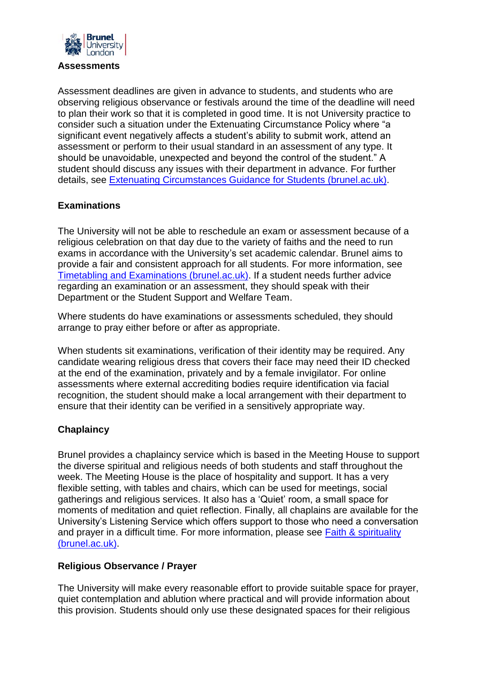

#### **Assessments**

Assessment deadlines are given in advance to students, and students who are observing religious observance or festivals around the time of the deadline will need to plan their work so that it is completed in good time. It is not University practice to consider such a situation under the Extenuating Circumstance Policy where "a significant event negatively affects a student's ability to submit work, attend an assessment or perform to their usual standard in an assessment of any type. It should be unavoidable, unexpected and beyond the control of the student." A student should discuss any issues with their department in advance. For further details, see [Extenuating Circumstances Guidance for Students \(brunel.ac.uk\).](https://students.brunel.ac.uk/documents/Policies/extenuating-circumstances-guidance-for-students.pdf)

### **Examinations**

The University will not be able to reschedule an exam or assessment because of a religious celebration on that day due to the variety of faiths and the need to run exams in accordance with the University's set academic calendar. Brunel aims to provide a fair and consistent approach for all students. For more information, see [Timetabling and Examinations \(brunel.ac.uk\).](https://staff.brunel.ac.uk/directorates/sas/timetabling-and-examinations) If a student needs further advice regarding an examination or an assessment, they should speak with their Department or the Student Support and Welfare Team.

Where students do have examinations or assessments scheduled, they should arrange to pray either before or after as appropriate.

When students sit examinations, verification of their identity may be required. Any candidate wearing religious dress that covers their face may need their ID checked at the end of the examination, privately and by a female invigilator. For online assessments where external accrediting bodies require identification via facial recognition, the student should make a local arrangement with their department to ensure that their identity can be verified in a sensitively appropriate way.

# **Chaplaincy**

Brunel provides a chaplaincy service which is based in the Meeting House to support the diverse spiritual and religious needs of both students and staff throughout the week. The Meeting House is the place of hospitality and support. It has a very flexible setting, with tables and chairs, which can be used for meetings, social gatherings and religious services. It also has a 'Quiet' room, a small space for moments of meditation and quiet reflection. Finally, all chaplains are available for the University's Listening Service which offers support to those who need a conversation and prayer in a difficult time. For more information, please see [Faith & spirituality](https://students.brunel.ac.uk/support/faith-spirituality)  [\(brunel.ac.uk\).](https://students.brunel.ac.uk/support/faith-spirituality)

#### **Religious Observance / Prayer**

The University will make every reasonable effort to provide suitable space for prayer, quiet contemplation and ablution where practical and will provide information about this provision. Students should only use these designated spaces for their religious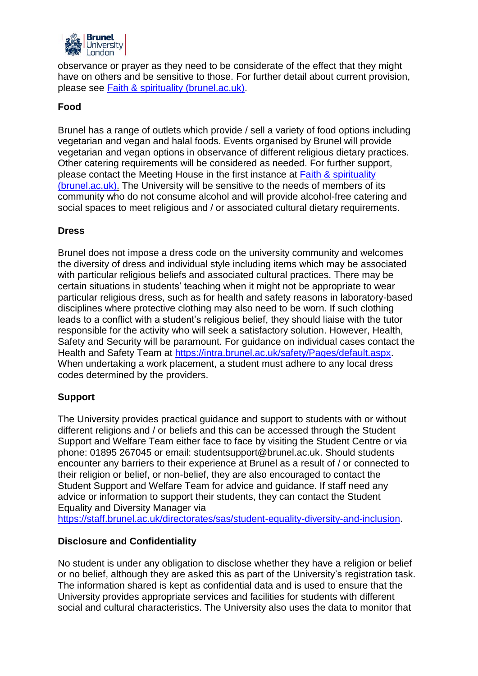

observance or prayer as they need to be considerate of the effect that they might have on others and be sensitive to those. For further detail about current provision, please see [Faith & spirituality \(brunel.ac.uk\).](https://students.brunel.ac.uk/support/faith-spirituality)

### **Food**

Brunel has a range of outlets which provide / sell a variety of food options including vegetarian and vegan and halal foods. Events organised by Brunel will provide vegetarian and vegan options in observance of different religious dietary practices. Other catering requirements will be considered as needed. For further support, please contact the Meeting House in the first instance at [Faith & spirituality](https://students.brunel.ac.uk/support/faith-spirituality)  [\(brunel.ac.uk\).](https://students.brunel.ac.uk/support/faith-spirituality) The University will be sensitive to the needs of members of its community who do not consume alcohol and will provide alcohol-free catering and social spaces to meet religious and / or associated cultural dietary requirements.

### **Dress**

Brunel does not impose a dress code on the university community and welcomes the diversity of dress and individual style including items which may be associated with particular religious beliefs and associated cultural practices. There may be certain situations in students' teaching when it might not be appropriate to wear particular religious dress, such as for health and safety reasons in laboratory-based disciplines where protective clothing may also need to be worn. If such clothing leads to a conflict with a student's religious belief, they should liaise with the tutor responsible for the activity who will seek a satisfactory solution. However, Health, Safety and Security will be paramount. For guidance on individual cases contact the Health and Safety Team at [https://intra.brunel.ac.uk/safety/Pages/default.aspx.](https://intra.brunel.ac.uk/safety/Pages/default.aspx) When undertaking a work placement, a student must adhere to any local dress codes determined by the providers.

# **Support**

The University provides practical guidance and support to students with or without different religions and / or beliefs and this can be accessed through the Student Support and Welfare Team either face to face by visiting the Student Centre or via phone: 01895 267045 or email: [studentsupport@brunel.ac.uk.](mailto:studentsupport@brunel.ac.uk) Should students encounter any barriers to their experience at Brunel as a result of / or connected to their religion or belief, or non-belief, they are also encouraged to contact the Student Support and Welfare Team for advice and guidance. If staff need any advice or information to support their students, they can contact the Student Equality and Diversity Manager via

[https://staff.brunel.ac.uk/directorates/sas/student-equality-diversity-and-inclusion.](https://staff.brunel.ac.uk/directorates/sas/student-equality-diversity-and-inclusion)

#### **Disclosure and Confidentiality**

No student is under any obligation to disclose whether they have a religion or belief or no belief, although they are asked this as part of the University's registration task. The information shared is kept as confidential data and is used to ensure that the University provides appropriate services and facilities for students with different social and cultural characteristics. The University also uses the data to monitor that